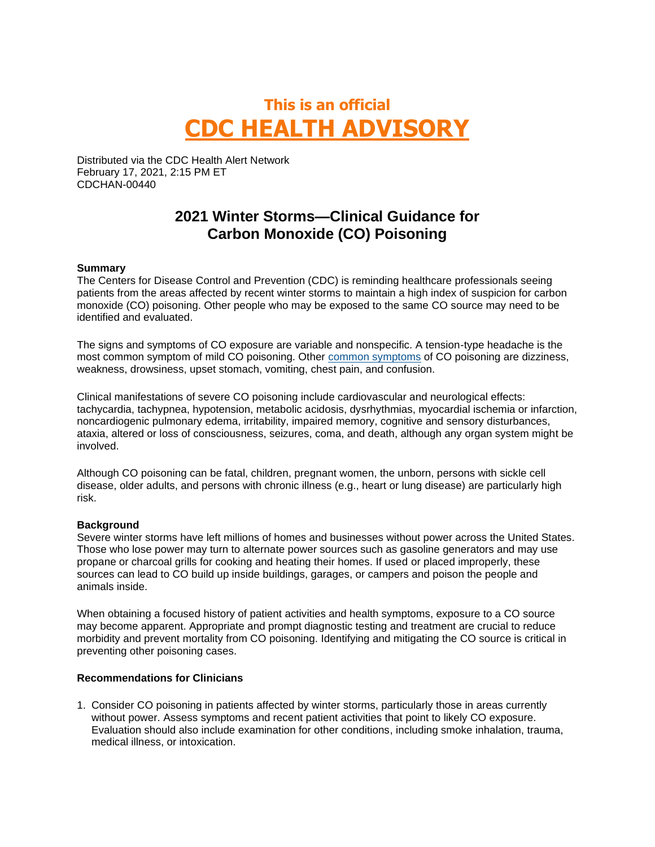# **This is an official CDC HEALTH ADVISORY**

Distributed via the CDC Health Alert Network February 17, 2021, 2:15 PM ET CDCHAN-00440

## **2021 Winter Storms—Clinical Guidance for Carbon Monoxide (CO) Poisoning**

### **Summary**

The Centers for Disease Control and Prevention (CDC) is reminding healthcare professionals seeing patients from the areas affected by recent winter storms to maintain a high index of suspicion for carbon monoxide (CO) poisoning. Other people who may be exposed to the same CO source may need to be identified and evaluated.

The signs and symptoms of CO exposure are variable and nonspecific. A tension-type headache is the most common symptom of mild CO poisoning. Other [common symptoms](https://www.cdc.gov/co/faqs.htm) of CO poisoning are dizziness, weakness, drowsiness, upset stomach, vomiting, chest pain, and confusion.

Clinical manifestations of severe CO poisoning include cardiovascular and neurological effects: tachycardia, tachypnea, hypotension, metabolic acidosis, dysrhythmias, myocardial ischemia or infarction, noncardiogenic pulmonary edema, irritability, impaired memory, cognitive and sensory disturbances, ataxia, altered or loss of consciousness, seizures, coma, and death, although any organ system might be involved.

Although CO poisoning can be fatal, children, pregnant women, the unborn, persons with sickle cell disease, older adults, and persons with chronic illness (e.g., heart or lung disease) are particularly high risk.

### **Background**

Severe winter storms have left millions of homes and businesses without power across the United States. Those who lose power may turn to alternate power sources such as gasoline generators and may use propane or charcoal grills for cooking and heating their homes. If used or placed improperly, these sources can lead to CO build up inside buildings, garages, or campers and poison the people and animals inside.

When obtaining a focused history of patient activities and health symptoms, exposure to a CO source may become apparent. Appropriate and prompt diagnostic testing and treatment are crucial to reduce morbidity and prevent mortality from CO poisoning. Identifying and mitigating the CO source is critical in preventing other poisoning cases.

#### **Recommendations for Clinicians**

1. Consider CO poisoning in patients affected by winter storms, particularly those in areas currently without power. Assess symptoms and recent patient activities that point to likely CO exposure. Evaluation should also include examination for other conditions, including smoke inhalation, trauma, medical illness, or intoxication.